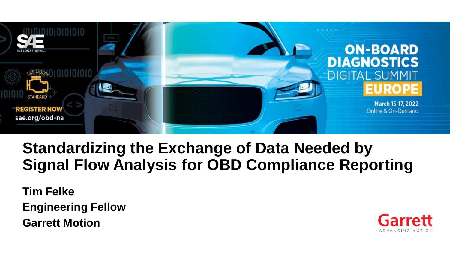

# **Standardizing the Exchange of Data Needed by Signal Flow Analysis for OBD Compliance Reporting**

**Tim Felke Engineering Fellow Garrett Motion**

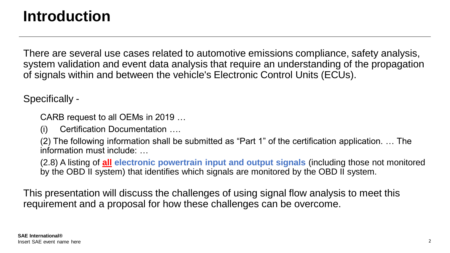# **Introduction**

There are several use cases related to automotive emissions compliance, safety analysis, system validation and event data analysis that require an understanding of the propagation of signals within and between the vehicle's Electronic Control Units (ECUs).

Specifically -

CARB request to all OEMs in 2019 …

(i) Certification Documentation ….

(2) The following information shall be submitted as "Part 1" of the certification application. … The information must include: …

(2.8) A listing of **all electronic powertrain input and output signals** (including those not monitored by the OBD II system) that identifies which signals are monitored by the OBD II system.

This presentation will discuss the challenges of using signal flow analysis to meet this requirement and a proposal for how these challenges can be overcome.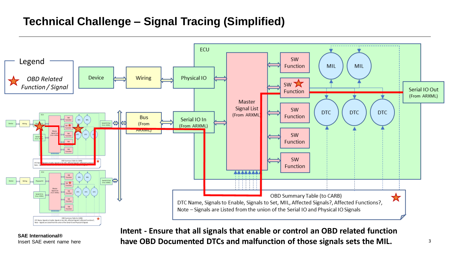## **Technical Challenge – Signal Tracing (Simplified)**



**SAE International®**

Insert SAE event name here **3 have OBD Documented DTCs and malfunction of those signals sets the MIL. Intent - Ensure that all signals that enable or control an OBD related function**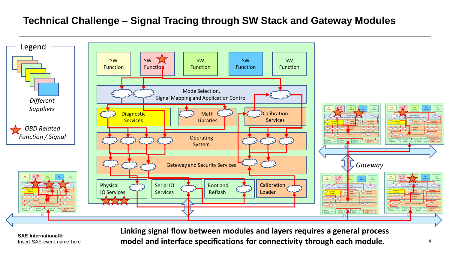#### **Technical Challenge – Signal Tracing through SW Stack and Gateway Modules**



**SAE International®**

Insert SAE event name here **4 4 model and interface specifications for connectivity through each module. Linking signal flow between modules and layers requires a general process**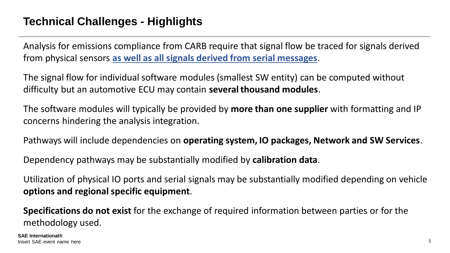#### **Technical Challenges - Highlights**

Analysis for emissions compliance from CARB require that signal flow be traced for signals derived from physical sensors **as well as all signals derived from serial messages**.

The signal flow for individual software modules (smallest SW entity) can be computed without difficulty but an automotive ECU may contain **several thousand modules**.

The software modules will typically be provided by **more than one supplier** with formatting and IP concerns hindering the analysis integration.

Pathways will include dependencies on **operating system, IO packages, Network and SW Services**.

Dependency pathways may be substantially modified by **calibration data**.

Utilization of physical IO ports and serial signals may be substantially modified depending on vehicle **options and regional specific equipment**.

**Specifications do not exist** for the exchange of required information between parties or for the methodology used.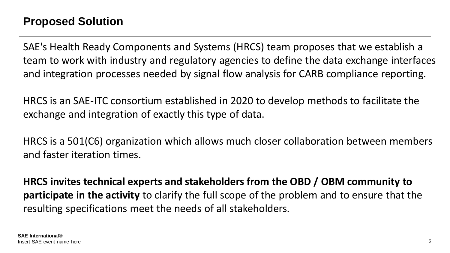SAE's Health Ready Components and Systems (HRCS) team proposes that we establish a team to work with industry and regulatory agencies to define the data exchange interfaces and integration processes needed by signal flow analysis for CARB compliance reporting.

HRCS is an SAE-ITC consortium established in 2020 to develop methods to facilitate the exchange and integration of exactly this type of data.

HRCS is a 501(C6) organization which allows much closer collaboration between members and faster iteration times.

**HRCS invites technical experts and stakeholders from the OBD / OBM community to participate in the activity** to clarify the full scope of the problem and to ensure that the resulting specifications meet the needs of all stakeholders.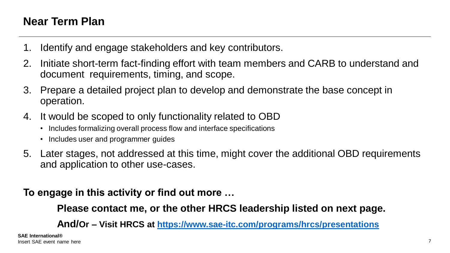#### **Near Term Plan**

- 1. Identify and engage stakeholders and key contributors.
- 2. Initiate short-term fact-finding effort with team members and CARB to understand and document requirements, timing, and scope.
- 3. Prepare a detailed project plan to develop and demonstrate the base concept in operation.
- 4. It would be scoped to only functionality related to OBD
	- Includes formalizing overall process flow and interface specifications
	- Includes user and programmer guides
- 5. Later stages, not addressed at this time, might cover the additional OBD requirements and application to other use-cases.

#### **To engage in this activity or find out more …**

**Please contact me, or the other HRCS leadership listed on next page.**

**And/Or – Visit HRCS at<https://www.sae-itc.com/programs/hrcs/presentations>**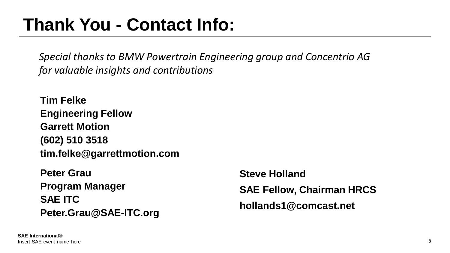# **Thank You - Contact Info:**

*Special thanks to BMW Powertrain Engineering group and Concentrio AG for valuable insights and contributions*

**Tim Felke Engineering Fellow Garrett Motion (602) 510 3518 tim.felke@garrettmotion.com**

**Peter Grau Program Manager SAE ITC Peter.Grau@SAE-ITC.org** **Steve Holland SAE Fellow, Chairman HRCS hollands1@comcast.net**